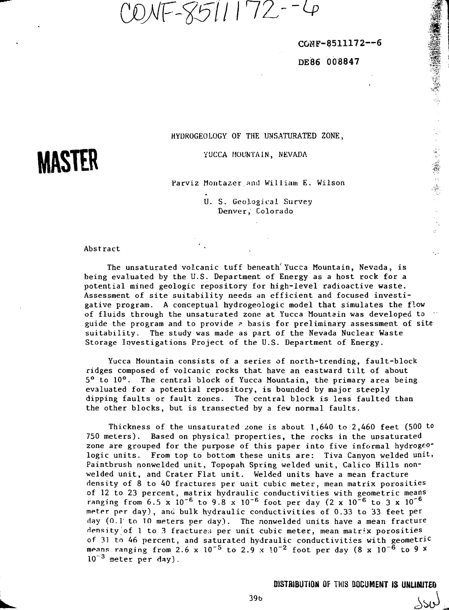DNF-8511172--4

**COWP-8511172—6**

' • #

**DEiB6 008847**

# **MASTER**

HYDROGEOLOGY OF THE UNSATURATED ZONE,

YUCCA MOUNTAIN, NEVADA

Parviz Montazer and William E. Wilson

U. S. Geological Survey Denver, Colorado

Abstract

The unsaturated volcanic tuff beneath Yucca Mountain, Nevada, is being evaluated by the U.S. Department of Energy as a host rock for a potential mined geologic repository for high-level radioactive waste. Assessment of site suitability needs an efficient and focused investigative program. A conceptual hydrogeologic model that simulates the flow of fluids through the unsaturated zone at Yucca Mountain was developed to • guide the program and to provide  $\epsilon$  basis for preliminary assessment of site suitability. The study was made as part of the Nevada Nuclear Waste Storage Investigations Project of the U.S. Department of Energy.

Yucca Mountain consists of a series of north-trending, fault-block ridges composed of volcanic rocks that have an eastward tilt of about 5° to 10°. The central block of Yucca Mountain, the primary area being evaluated for a potential repository, is bounded by major steeply dipping faults or fault zones. The central block is less faulted than the other blocks, but is transected by a few normal faults.

Thickness of the unsaturated zone is about  $1,640$  to  $2,460$  feet (500 to 750 meters). Based on physical properties, the rocks in the unsaturated zone are grouped for the purpose of this paper into five informal hydrogeologic units. From top to bottom these units are: Tiva Canyon welded unit, Paintbrush nonwelded unit, Topopah Spring welded unit, Calico Hills nonwelded unit, and Crater Flat unit. Welded units have a mean fracture density of 8 to 40 fractures per unit cubic meter, mean matrix porosities of 12 to 23 percent, matrix hydraulic conductivities with geometric means ranging from 6.5 x 10<sup>-6</sup> to 9.8 x 10<sup>-6</sup> foot per day (2 x 10<sup>-6</sup> to 3 x 10<sup>-6</sup> meter per day), and bulk hydraulic conductivities of 0.33 to 33 feet per day (0.1' to 10 meters per day). The nonwelded units have a mean fracture density of 1 to 3 fractures per unit cubic meter, mean matrix porosities of 3] to 46 percent, and saturated hydraulic conductivities with geometric means ranging from 2.6 x  $10^{-5}$  to 2.9 x  $10^{-2}$  foot per day (8 x  $10^{-6}$  to 9 x  $10^{-3}$  meter per day).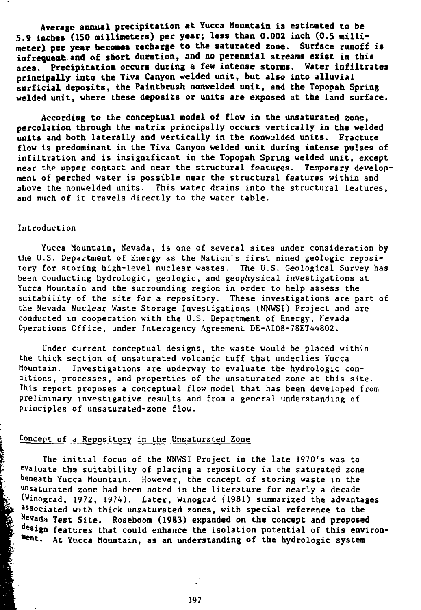**Average annual precipitation at Yucca Mountain is estimated to be 5.9 inches (ISO millimeters) per year; less than 0.002 inch (0.5 millimeter) per year becomes recharge to the saturated zone. Surface runoff is infrequent.and of short duration, and no perennial streams exist in this area. Precipitation occurs during a few intense storms. Water infiltrates principally into the Tiva Canyon welded unit, but also into alluvial surficial deposits, the Paintbrush nonwelded unit, and the Topopah Spring welded unit, where these deposits or units are exposed at the land surface.**

**According to the conceptual model of flow in the unsaturated zone, percolation through the matrix principally occurs vertically in the welded units and both laterally and vertically in the nonw\_'lded units. Fracture flow is predominant in the Tiva Canyon welded unit during intense pulses of infiltration and** is **insignificant in** the **Topopah Spring welded unit, except** near the upper contact and near the structural features. **Temporary** development of perched water is possible near the structural features within and above the nonwelded units. This water drains into the structural features, and much of it travels directly to the water table.

#### Introduction

Yucca Mountain, Nevada, is one of several sites under consideration by the U.S. Department of Energy as the Nation's first mined geologic repository for storing high-level nuclear wastes. The U.S. Geological Survey has been conducting hydrologic, geologic, and geophysical investigations at Yucca Mountain and the surrounding region in order to help assess the suitability of the site for a repository. These investigations are part of the Nevada Nuclear Waste Storage Investigations (NNWSI) Project and are conducted in cooperation with the U.S. Department of Energy, Nevada Operations Office, under Interagency Agreement DE-AI08-78ET44802.

Under current conceptual designs, the waste would be placed within the thick section of unsaturated volcanic tuff that underlies Yucca Mountain. Investigations are underway to evaluate the hydrologic conditions, processes, and properties of the unsaturated zone at this site. This report proposes a conceptual flow model that has been developed from preliminary investigative results and from a general understanding of principles of unsaturated-zone flow.

# Concept of a Repository in the Unsaturated Zone

The initial focus of the NNWSI Project in the late 1970's was to evaluate the suitability of placing a repository in the saturated zone beneath Yucca Mountain. However, the concept of storing waste in the unsaturated zone had been noted in the literature for nearly a decade (Winograd, 1972, 1974). Later, Winograd (1981) summarized the advantages associated with thick unsaturated zones, with special reference to **the** Nevada **Test** Site. Roseboom **(1983) expanded on the concept and proposed design features that could enhance the isolation potential of this environ- \*ent.** At Yucca Mountain, as an understanding of the hydrologic system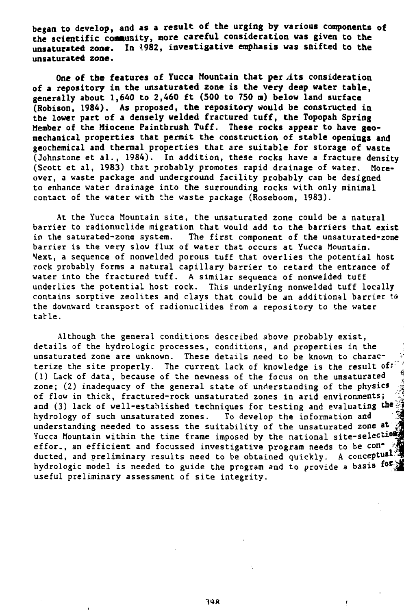**began to develop, and as a result of the urging by various components of the scientific comusity, more careful consideration was given to the unsaturated zone. In 9982, investigative emphasis was snifted to the unsaturated zone.**

**One of the features of Yucca Mountain that per jits consideration of a repository in the unsaturated zone is the very deep water table, generally about 1,640 to 2,460 ft (500 to 750 m) below land surface (Robison, 1984). As proposed, the repository would be constructed in the lower part of a densely welded fractured tuff, the Topopah Spring Member** of **the Miocene Paintbrush Tuff. These rocks appear to have geomechanical properties that permit the construction of stable openings and** geochemical and **thermal** properties that are suitable for storage of **waste** (Johnstone et al., 1984). In addition, these rocks have a fracture density (Scott et al, 1983) that probably promotes rapid drainage of water. Moreover, a waste package and underground facility probably can be designed to enhance water drainage into the surrounding rocks with only minimal contact of the water with the waste package (Roseboom, 1983).

At the Yucca Mountain site, the unsaturated zone could be a natural barrier to radionuclide migration that would add to the barriers that exist in the saturated-zone system. The first component of the unsaturated-zone barrier is the very slow flux of water that occurs at Yucca Mountain. Next, a sequence of nonwelded porous tuff that overlies the potential host rock probably forms a natural capillary barrier to retard the entrance of water into the fractured tuff. A similar sequence of nonwelded tuff underlies the potential host rock. This underlying nonwelded tuff locally contains sorptive zeolites and clays that could be an additional barrier to the downward transport of radionuclides from a repository to the water table.

Although, the general conditions described above probably exist, details of the hydrologic processes, conditions, and properties in the unsaturated zone are unknown. These details need to be known to charac- • terize the site properly. The current lack of knowledge is the result of: (1) Lack of data, because of the newness of the focus on the unsaturated ' zone; (2) inadequacy of the general state of understanding of the physics of flow in thick, fractured-rock unsaturated zones in arid environments; and (3) lack of well-established techniques for testing and evaluating **the** hydrology of such unsaturated zones. To develop the information and understanding needed to assess the suitability of the unsaturated zone **at** Yucca Mountain within the time frame imposed by the national site-selection effor., an efficient and focussed investigative program needs to be  $con^$ ducted, and preliminary results need to be obtained quickly. A **conceptual-'** hydrologic model is needed to guide the program and to provide a basis for the useful preliminary assessment of site integrity.

ŗ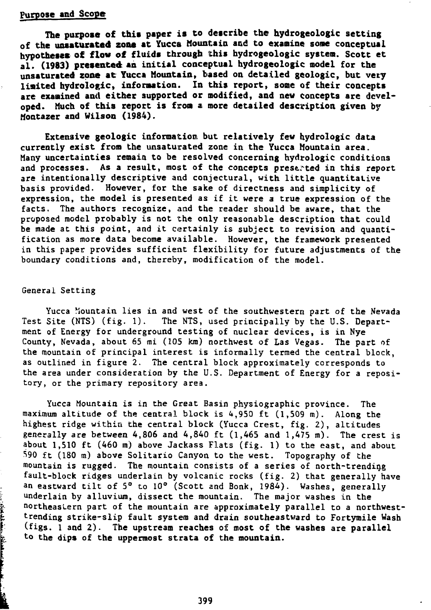#### **purpose and Scope**

**The purpose of this paper is to describe the hydrogeologic setting of the unsaturated zone at Yucca Mountain and to examine some conceptual hypotheses of flow of fluids through this hydrogeologic system.** Scott **et al. (1983) presented an initial conceptual hydrogeologic model** for **the unsaturated zone at Yucca Mountain, based on detailed geologic, but very limited hydrologic, information. In this report, some of their concepts are examined and either supported or modified, and new concepts are developed. Much of this report is from a more detailed description given by Montazer and Wilson (1984).**

**Extensive geologic** information but relatively few hydrologic **data** currently exist **from** the unsaturated zone in **the** Yucca Mountain area. Many uncertainties remain to be resolved concerning hydrologic conditions and processes. As a result, most of the concepts preserted in this report are intentionally descriptive and conjectural, with little quantitative basis provided. However, for the sake of directness and simplicity of expression, the model is presented as if it were a true expression of the facts. The authors recognize, and the reader should be aware, that the proposed model probably is not the only reasonable description that could be made at this point, and it certainly is subject to revision and quantification as more data become available. However, the framework presented in this paper provides sufficient flexibility for future adjustments of the boundary conditions and, thereby, modification of the model.

#### General Setting

i<br>F

Yucca Mountain lies in and west of the southwestern part of the Nevada Test Site (NTS) (fig. 1). The NTS, used principally by the U.S. Department of Energy for underground testing of nuclear devices, is in Nye County, Nevada, about 65 mi (105 km) northwest of Las Vegas. The part of the mountain of principal interest is informally termed the central block, as outlined in figure 2. The central block approximately corresponds to the area under consideration by the U.S. Department of Energy for a repository, or the primary repository area.

Yucca Mountain is in the Great Basin physiographic province. The maximum altitude of the central block is 4,950 ft (1,509 m). Along the highest ridge within the central block (Yucca Crest, fig. 2), altitudes generally are between 4,806 and 4,840 ft  $(1,465$  and  $1,475$  m). The crest is about 1,510 ft (460 m) above Jackass Flats (fig. 1) to the east, and about  $590$  ft (180 m) above Solitario Canyon to the west. Topography of the mountain is rugged. The mountain consists of a series of north-trending fault-block ridges underlain by volcanic rocks (fig. 2) that generally have an eastward tilt of 5° to 10° (Scott and Bonk, 1984). Washes, generally underlain by alluvium, dissect the mountain. The major washes in the northeastern part of the mountain are approximately parallel to a northwesttrending strike-slip fault system and drain southeastward to Fortymile Wash (figs. 1 and 2). The upstream reaches of most of **the** washes are parallel to the dips of **the** uppermost strata of **the** mountain.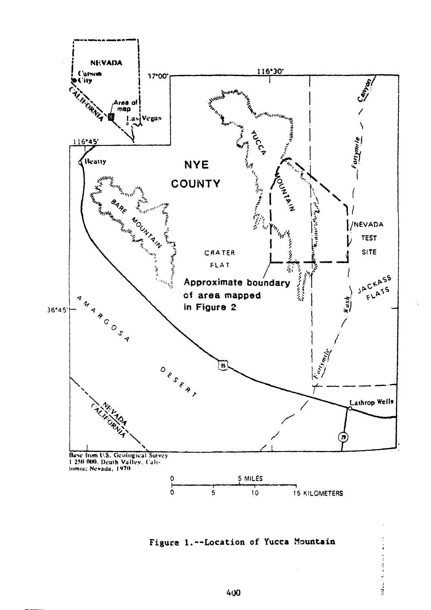

Figure 1.--Location of Yucca Mountain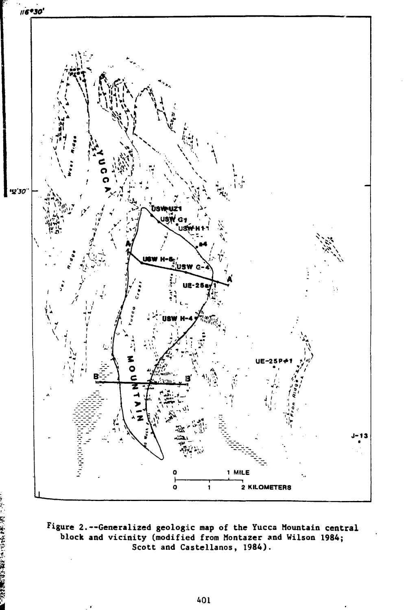

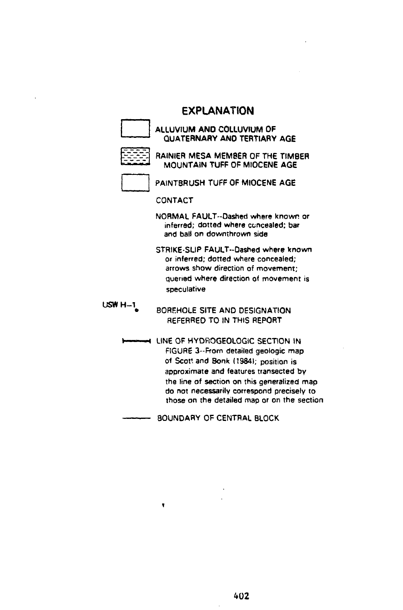## **EXPLANATION**

**ALLUVIUM AND COLLUVIUM OF QUATERNARY ANO TERTIARY AGE**

|  |                |  | - |
|--|----------------|--|---|
|  |                |  |   |
|  |                |  |   |
|  |                |  |   |
|  | Ŧ<br>ويتعاصبوا |  |   |

**RAINIER MESA MEMBER OF THE TIMBER**

**MOUNTAIN TUFF OF MIOCENE AGE**

**PAINTBRUSH TUFF OF MIOCENE AGE**

**CONTACT**

**NORMAL FAULT-Dashed whsrs known or inferred; dotted where concealed; bar and ball on downthrown side**

**STRIKE-SLIP FAULT--Dashed where known or inferred; dotted where concealed; arrows show direction of movement; queried where direction of movement is speculative**

**USWH-1 BOREHOLE SITE AND DESIGNATION REFERRED TO IN THIS REPORT**

> **LINE OF HYDROGEOLOGIC SECTION IN FIGURE 3--From detailed geologic map of Scot', and Bonk (19841; position is approximate and features transected by the line of section on this generalized map do not necessarily correspond precisely to those on the detailed map or on the section**

**BOUNDARY OF CENTRAL BLOCK**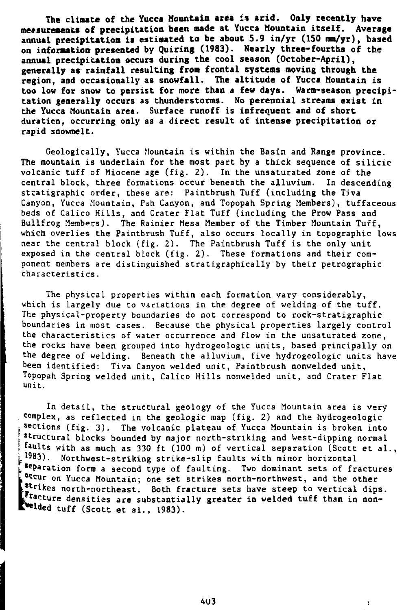**The climate of the Yucca Mountain area i% arid. Only recently have measurements of precipitation been made at Yucca Mountain itself. Average** annual precipitation is estimated to be about 5.9 in/yr (150 mm/yr), based **on information presented by Quiring (1983). Nearly three-fourths of the annual precipitation occurs during the cool season (October-April), generally as rainfall resulting from frontal systems moving through the region, and occasionally as snowfall. The altitude of Yucca Mountain is too low for snow to persist for more than a few days. Warm-season precipitation generally occurs as thunderstorms. No perennial streams exist in the Yucca Mountain area. Surface runoff is infrequent and of short duration, occurring only as** a **direct result of intense precipitation or rapid snowmelt.**

Geologically, Yucca Mountain is within the Basin and Range province. The mountain is underlain for the most part by a thick sequence of silicic volcanic tuff of Miocene age (fig. 2). In the unsaturated zone of the central block, three formations occur beneath the alluvium. In descending stratigraphic order, these are: Paintbrush Tuff (including the Tiva Canyon, Yucca Mountain, Pah Canyon, and Topopah Spring Members), tuffaceous beds of Calico Hills, and Crater Flat Tuff (including the Prow Pass and Bullfrog Members). The Rainier Mesa Member of the Timber Mountain Tuff, which overlies the Paintbrush Tuff, also occurs locally in topographic lows near the central block (fig. 2). The Paintbrush Tuff is the only unit exposed in the central block (fig. 2). These formations and their component members are distinguished stratigraphically by their petrographic characteristics.

The physical properties within each formation vary considerably, which is largely due to variations in the degree of welding of the tuff. The physical-property boundaries do not correspond to rock-stratigraphic boundaries in most cases. Because the physical properties largely control the characteristics of water occurrence and flow in the unsaturated zone, the rocks have been grouped into hydrogeologic units, based principally on the degree of welding. Beneath the alluvium, five hydrogeologic units have been identified: Tiva Canyon welded unit, Paintbrush nonwelded unit, Topopah Spring welded unit, Calico Hills nonwelded unit, and Crater Flat unit.

In detail, the structural geology of the Yucca Mountain area is very complex, as reflected in the geologic map (fig. 2) and the hydrogeologic sections (fig. 3). The volcanic plateau of Yucca Mountain is broken into structural blocks bounded by major north-striking and West-dipping normal faults with as much as 330 ft (100 m) of vertical separation (Scott et al., 1983). Northwest-striking strike-slip faults with minor horizontal t **separation form a second type of faulting.** Two dominant sets of fractures occur on Yucca Mountain; one set strikes north-northwest, and the other strikes north-northeast. Both fracture sets have steep to vertical dips. **densities** are substantially greater in welded tuff than in nontwelded tuff (Scott et al., 1983).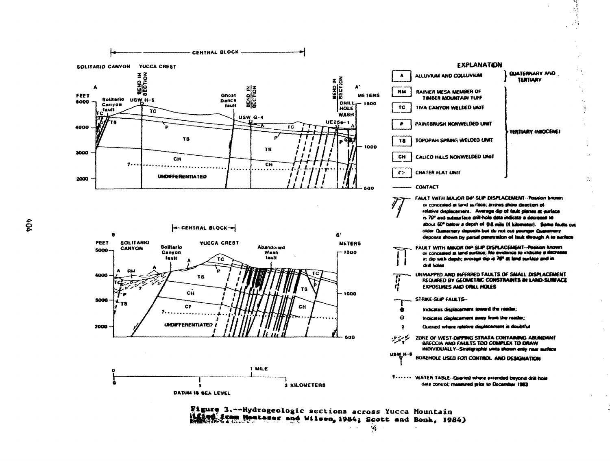

Figure 3 .-- Hydrogeologic sections across Yucca Mountain from Montager and Wilson, 1984; Scott and Bonk, 1984)

 $404$ 

۰.,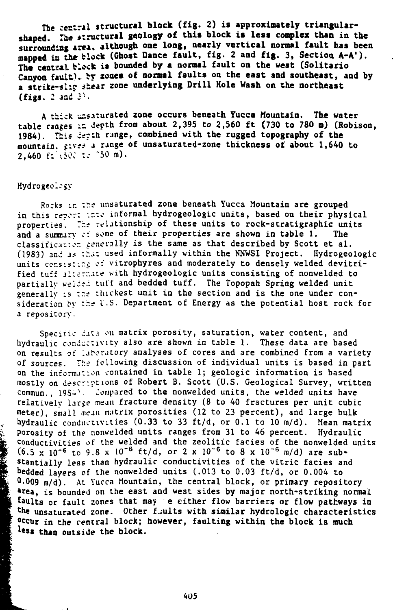**The central structural block (fig. 2) is approximately triangular**shaped. The structural geology of this block is less complex than in the surrounding area, although one long, nearly vertical normal fault has been **mapped in the block (Ghost Dance fault, fig. 2 and fig. 3, Section A-A<sup>1</sup> ). The central block is bounded by a normal fault on the west (Solitario Canyon fault). by zones of normal faults on the east and southeast, and by a strike-slip shear zone underlying Drill Hole Wash on the northeast** (figs. 2 and  $3^1$ .

A thick unsaturated zone occurs beneath Yucca Mountain. The water table ranges in depth from about 2,395 to 2,560 ft (730 to 780 m) (Robison. 1984). This depth range, combined with the rugged topography of the mountain, gives a range of unsaturated-zone thickness of about 1,640 to  $2,460$  ft  $50$ :  $50$   $\frac{1}{2}$   $50$  m).

#### Hydrogeolciy

 $\frac{1}{2}$ 

Rocks in the unsaturated zone beneath Yucca Mountain are grouped in this repcr: into informal hydrogeologic units, based on their physical properties. The relationship of these units to rock-stratigraphic units and a summary c: some of their properties are shown in table  $1$ . classification generally is the same as that described by Scott et al. (1983) and as that used informally within the NNWSI Project. Hydrogeologic units consisting of vitrophyres and moderately to densely welded devitrified tuff alternate with hydrogeologic units consisting of nonwelded to partially welded tuff and bedded tuff. The Topopah Spring welded unit generally is the thickest unit in the section and is the one under consideration by the U.S. Department of Energy as the potential host rock for a repository.

Specific data on matrix porosity, saturation, water content, and hydraulic conductivity also are shown in table 1. These data are based on results of laboratory analyses of cores and are combined from a variety of sources. The following discussion of individual units is based in part on the information contained in table 1; geologic information is based mostly on descriptions of Robert B. Scott (U.S. Geological Survey, written commun., 19S. Compared to the nonwelded units, the welded units have relatively large mean fracture density (8 to 40 fractures per unit cubic meter), small mean matrix porosities (12 to 23 percent), and large bulk hydraulic conductivities (0.33 to 33 ft/d, or 0.1 to 10 m/d). Mean matrix Porosity of the nonwelded units ranges from 31 to 46 percent. Hydraulic conductivities of the welded and the zeolitic facies of the nonwelded units  $(6.5 \times 10^{-6} \text{ to } 9.8 \times 10^{-6} \text{ ft/d}, \text{ or } 2 \times 10^{-6} \text{ to } 8 \times 10^{-6} \text{ m/d})$  are substantially less than hydraulic conductivities of the vitric facies and bedded layers of the nonwelded units (.013 to 0.03 ft/d, or 0.004 to  $0.009$  m/d). At Yucca Mountain, the central block, or primary repository area, is bounded on the east and west sides by major north-striking normal faults or fault zones that may be either flow barriers or flow pathways in the unsaturated zone. Other fuults with similar hydrologic characteristics <sup>occur</sup> in the central block; however, faulting within the block is much less than outside the block.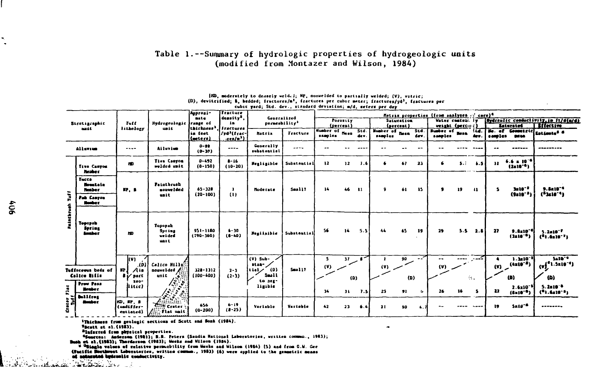## Table 1.--Summary of hydrologic properties of hydrogeologic units (modified from Montazer and Wilson, 1984)

| Strotigraphic<br>anit. |                                                  | <b>Tutt</b><br>lithology<br>usit.                            |                                            | Approsi-<br>demnity <sup>2</sup> .<br>mate<br>in.<br>lihirkacaa<br>ia feet<br>(getera | <b>Fracture</b>                                               | <b>Generalized</b><br>permeability <sup>3</sup> |             | Matrix properties (from analyses of core) <sup>4</sup> |                       |                         |                            |                                      |                      |                           |         |                                                           |                                                                 |  |
|------------------------|--------------------------------------------------|--------------------------------------------------------------|--------------------------------------------|---------------------------------------------------------------------------------------|---------------------------------------------------------------|-------------------------------------------------|-------------|--------------------------------------------------------|-----------------------|-------------------------|----------------------------|--------------------------------------|----------------------|---------------------------|---------|-----------------------------------------------------------|-----------------------------------------------------------------|--|
|                        |                                                  |                                                              | Hydrogeologic Irange of                    |                                                                                       |                                                               |                                                 |             | Porosity<br>(percent)                                  |                       | Saturation<br>(percent) |                            | Water centeni. Iv<br>weight (person) |                      | <b>Laturated</b>          |         | (Mydraulic conductivity, in f1/d(n/d)<br><b>Iffective</b> |                                                                 |  |
|                        |                                                  |                                                              |                                            |                                                                                       | fractures<br>/yd <sup>3</sup> (frac-<br>aren/m <sup>3</sup> ) | <b>HALTIS</b>                                   | Fracture    | Number of News<br>samples                              |                       | Std.<br>dev.            | Humber of Bean<br>sambles. | std.<br>dev                          | Humber of<br>samples | <b>Sec. 1</b><br>Arv.     | samples | <b>DEMA</b>                                               | No. of Greentric Estimate <sup>8</sup>                          |  |
|                        | Allavius                                         | ----                                                         | Ailuvius                                   | $0 - 96$<br>$(0-10)$                                                                  | $- - - -$                                                     | Generally<br><i>substantial</i>                 | $- - - -$   |                                                        |                       |                         |                            |                                      |                      |                           | --      |                                                           | ---------                                                       |  |
| Ē<br>hathruth          | Tive Canyon<br><b>Healier</b>                    | m                                                            | <b>Tive Canyon</b><br>welded unit          | $0 - 432$<br>$(0-150)$                                                                | $8 - 16$<br>$(10-20)$                                         | Megligible                                      | Substantial | 12                                                     | 12                    | 7.6                     | 6                          | 67<br>23                             | 6                    | $5 - i$<br>6.5            | 11      | $6.6 \pm 10^{-6}$<br>$(2x10^{-6})$                        |                                                                 |  |
|                        | <b>Yucca</b><br><b>Houstain</b><br><b>Heaber</b> | m. s                                                         | Paintbrush<br>nonwelded                    | $65 - 328$                                                                            | ı.                                                            | <b>Hoderate</b>                                 | Small?      | 14                                                     | 46                    | -11                     | я.                         | 61<br>15                             | 19<br>$\bullet$      | $\mathbf{u}$              | 5.      | <b>3z10-2</b>                                             | 9.8x10 <sup>-4</sup>                                            |  |
|                        | Pah Canyon<br><b>Homber</b>                      |                                                              | unit                                       | $(20 - 100)$                                                                          | $\mathbf{u}$                                                  |                                                 |             |                                                        |                       |                         |                            |                                      |                      |                           |         | $(9a)0^{-3}$                                              | $(^5111^{-1})$                                                  |  |
|                        | Topopah<br>Spring<br><b>Anahor</b>               | <b>ND</b>                                                    | Topopah<br>Spring<br>weided<br><b>HALL</b> | 951-1180<br>$(790 - 360)$                                                             | $4 - 30$<br>$(0 - 40)$                                        | Megiinibie                                      | Substantial | 56                                                     | 14                    | 3.5                     | 66                         | 65<br>19                             | 29                   | $5.5 \quad 2.8$           | 27      | 9.8x10 <sup>-4</sup><br>$(3x10^{-6})$                     | $5.2010 - T$<br>(1.4107)                                        |  |
|                        | Tuffnceous beds of<br>Colice Bills               | kv)<br>$\cdot$<br>(D)<br>m l<br>$\sqrt{10}$<br>$8 \vee$ part | Calico Milla<br>nouvelded<br>∕≋<br>unit    | $328 - 1312$<br>$(100 - 400)$                                                         | $2 - 3$<br>$(2-3)$                                            | $(V)$ Sub-<br>atsa-<br>(D)<br>れいレ<br>Small      | Small?      | s<br>(v)                                               | $\overline{M}$<br>(D) |                         | x.<br>(V)                  | 90<br>--<br>(D)                      | --<br>(v)            | المسر<br>----<br><b>A</b> | (V)     | $1.3110^{-1}$<br>(4=l0 <sup>-3</sup> )<br>(D)             | 5210-4<br>$(v)$ <sup>6</sup> 1.5x10 <sup>-4</sup> )<br>$\omega$ |  |
| F) at                  | <b>Prov Pass</b><br><b>Henber</b>                | 200 <sup>o</sup><br>flitic)                                  | $\frac{\sqrt{2}}{\sqrt{2}}$                |                                                                                       |                                                               | to seg-<br>ligibie                              |             | 14                                                     | 34                    | 7.5                     | 25                         | 21<br>ь.                             | -16<br>26            | -5                        | 22      | $2.6x10^{-5}$<br>$(8x10^{-9})$                            | $5.2x10^{-8}$<br>$(91.410^{-6})$                                |  |
| erate<br>Diff          | <b>Sallfres</b><br><b>Smither</b>                | no, ar, a<br>(uadiffer-<br>catisted)                         | <b>AND Flat Holt</b>                       | 656<br>$(0-200)$                                                                      | $6 - 19$<br>$(1 - 25)$                                        | Variable                                        | Variable    | 42                                                     | $\overline{2}$        | 6.4                     | 21                         | 90<br>4.7                            |                      | $ - - -$                  | 19      | $5 - 10^{-4}$                                             |                                                                 |  |

(HD, moderntely to densely welded; MP, nonwelded to partially welded; (V), vatric; (D), devitrified; B, bedded; fractures/m<sup>1</sup>, fractures per cubic mater; fractures/yd<sup>3</sup>, fractures per cubic yard; Std. dev., stradard deviation; m/d, meters per day

'Thickness from geologic sections of Scott and Sonk (1984).

Speatt at al. (1983).

المعاطي والمتقاطعة أأبال

<sup>3</sup>Inferred from physical properties.

"Fauscon: Anderson (1981); R.R. Peters (Sandia Mational Laboratories, written commun., 1983); Bush et al.(1983); Therderson (1983); Weeks and Wilson (1984).<br>Weblack and Wilson (1984); Sand from G.W. Gee

(Pacific Morthwest Loboratories, written comma., 1981) (6) were applied to the geneetric means of soluceted typicanlic conductivity.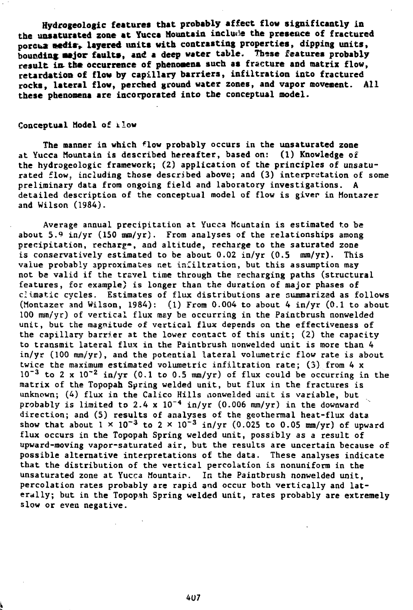Hydrogeologic features that probably affect flow significantly in the unsaturated zone at Yucca Mountain include the presence of fraetured porcuz media, layered units with contrasting properties, dipping units, bounding: **asjor** faults, and a deep water table. These features probably result in the occurrence of phenomena such as fracture and matrix flow, retardation of flow by capillary barriers, infiltration into fractured rocks, lateral flow, perched ground water zones, and vapor movement. All **these phenomena are incorporated** into **the** conceptual model.

### Conceptual Model of ilow

The manner in which <sup>f</sup>low probably occurs in the unsaturated zone at Yucca Mountain is described hereafter, based on: (1) Knowledge of the hydrogeologic framework; (2) application of the principles of unsaturated flow, including those described above; and (3) interpretation of some preliminary data from ongoing field and laboratory investigations. A detailed description of the conceptual model of flow is giver in Montazer and Wilson (1984).

Average annual precipitation at Yucca Mountain is estimated to be about  $5.9 \text{ in/yr}$  (150 mm/yr). From analyses of the relationships among precipitation, recharg-, and altitude, recharge to the saturated zone is conservatively estimated to be about  $0.02$  in/yr  $(0.5 \text{ mm/yr})$ . This value probably approximates net infiltration, but this assumption may not be valid if the travel time through the recharging paths (structural features, for example) is longer than the duration of major phases of climatic cycles. Estimates of flux distributions are summarized as follows (Montazer and Wilson, 1984): (1) From 0.004 to about 4 in/yr  $(0.1$  to about 100 nun/yr) of vertical flux may be occurring in the Paintbrush nonwelded unit, but the magnitude of vertical flux depends on the effectiveness of the capillary barrier at the lower contact of this unit; (2) the capacity to transmit lateral flux in the Paintbrush nonwelded unit is more than 4 in/yr (100 mm/yr), and the potential lateral volumetric flow rate is about twice the maximum estimated volumetric infiltration rate; (3) from 4 x  $10^{-3}$  to 2 x  $10^{-2}$  in/yr (0.1 to 0.5 mm/yr) of flux could be occurring in the matrix of the Topopah Spring welded unit, but flux in the fractures is unknown; (4) flux in the Calico Hills nonwelded unit is variable, but probably is limited to 2.4 x  $10^{-4}$  in/yr (0.006 mm/yr) in the downward direction; and (5) results of analyses of the geothermal heat-flux data show that about  $1 \times 10^{-3}$  to 2  $\times 10^{-3}$  in/yr (0.025 to 0.05 mm/yr) of upward flux occurs in the Topopah Spring welded unit, possibly as a result of upward-moving vapor-saturated air, but the results are uncertain because of possible alternative interpretations of the data. These analyses indicate that the distribution of the vertical percolation is nonuniform in the unsaturated zone at Yucca Mountain. In the Paintbrush nonwelded unit, percolation rates probably are rapid and occur both vertically and laterally; but in the Topopah Spring welded unit, rates probably are extremely slow or even negative.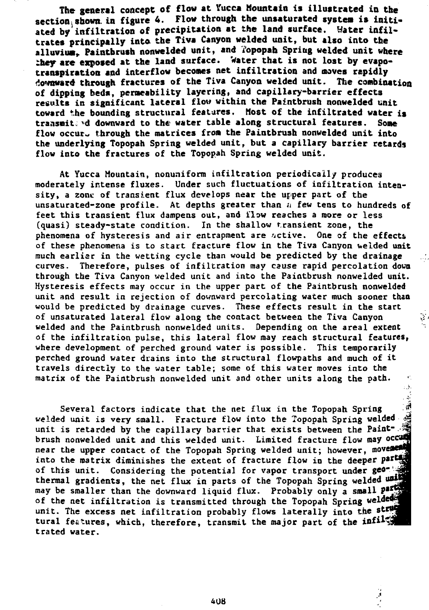**The general concept of flow at Yucca Mountain is illustrated in the** section shown in figure 4. Flow through the unsaturated system is initiated by infiltration of precipitation at the land surface. Water infil**trates principally into the Tiva Canyon welded** unit, **but also into the** alluvium. Paintbrush nonwelded unit, and Topopah Spring welded unit where they are exposed at the land surface. Water that is not lost by evapo**transpiration and interflow becomes net infiltration and moves rapidly downward through fractures of the Tiva Canyon welded unit. The combination of dipping beds, permeability layering, and capillary-barrier effects results in significant lateral flow within the Paintbrush nonwelded** unit **toward the bounding structural features. Host of the infiltrated water is** transmiteed downward to the water table along structural features. Some **flow occur- through the matrices from the Paintbrush nonwelded unit into the underlying Topopah** Spring **welded unit, but a capillary barrier retards** flow into **the** fractures of **the** Topopah Spring **welded** unit.

At Yucca Mountain, nonuniform infiltration periodically produces moderately intense fluxes. Under such fluctuations of infiltration intensity, a zone of transient flux develops near the upper part of the unsaturated-zone profile. At depths greater than  $u$  few tens to hundreds of feet this transient flux dampens out, and flow reaches a more or less (quasi) steady-state condition. In the shallow transient zone, the phenomena of hysteresis and air entrapment are  $u$ ctive. One of the effects of these phenomena is to start fracture flow in the Tiva Canyon welded unit much earlier in the wetting cycle than would be predicted by the drainage curves. Therefore, pulses of infiltration may cause rapid percolation down through the Tiva Canyon welded unit and into the Paintbrush nonwelded unit. Hysteresis effects may occur in the upper part of the Paintbrush nonwelded unit and result in rejection of downward percolating water much sooner than would be predicted by drainage curves. These effects result in the start of unsaturated lateral flow along the contact between the Tiva Canyon welded and the Paintbrush nonwelded units. Depending on the areal extent of the infiltration pulse, this lateral flow may reach structural features, where development of perched ground water is possible. This temporarily perched ground water drains into the structural flowpaths and much of it travels directly to the water table; some of this water moves into the matrix of the Paintbrush nonweided unit and other units along the path.

 $\mathcal{L}$ 

ر<br>باش Several factors indicate that the net flux in the Topopah Spring welded unit is very small. Fracture flow into the Topopah Spring **welded** unit is retarded by the capillary barrier that exists between the Paintbrush nonwelded unit and this welded unit. Limited fracture flow may occum near the upper contact of the Topopah Spring welded unit; however, movement into the matrix diminishes the extent of fracture flow in the deeper part of this unit. Considering the potential for vapor transport **under** ge thermal gradients, the net flux in parts of the Topopah Spring welded unit may be smaller than the downward liquid flux. Probably only a small parties of the net infiltration is transmitted through the Topopah Spring welded unit. The excess net infiltration probably flows laterally into the **s** tural features, which, therefore, transmit the major part of the infiled trated water.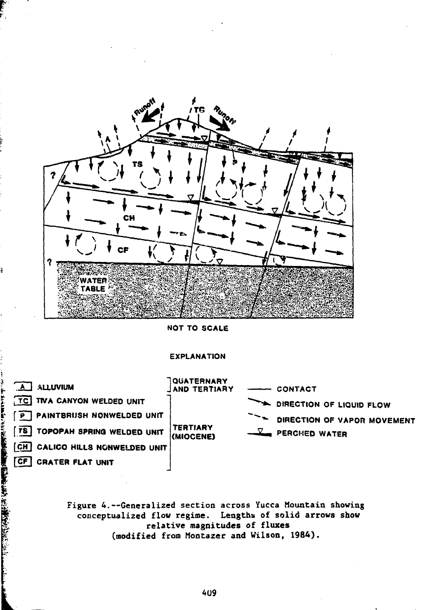

**r-**

**NOT TO SCALE**

## **EXPLANATION**



**Figure 4.—Generalized section across Yucca Mountain showing conceptualized flow regime. Lengths of solid arrows show relative magnitudes of fluxes (modified from Montazer and Wilson, 1984).**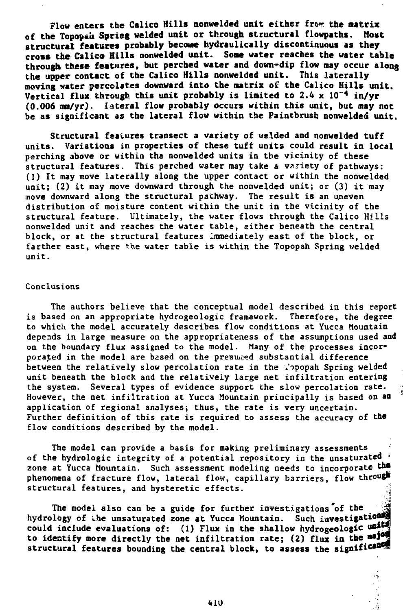**Flow enters the Calico Hills nonwelded unit either from the matrix**<br>In Tonovali Spring welded unit or through structural flowpaths. Most of the Topopau Spring welded unit or through structural flowpaths. **structural features probably becoae hydraulically discontinuous as they** cross the Calico Hills nonwelded unit. Some water reaches the water table **through these features, but perched water and down-dip flow may occur along** the **upper contact of the Calico Hills nonwelded unit. This laterally moving water percolates downward into the matrix of the Calico Hills unit. Vertical flux** through **this unit probably is limited to 2.4 x 10~<sup>4</sup> in/yr (0.006 mn/yr). lateral flow probably occurs within this unit, but may not be as** significant as **the lateral flow within the Paintbrush nonwelded unit.**

**Structural features transect a variety of welded and nonwelded tuff units. Variations in properties of these tuff units could result in local perching above** or within the nonwelded units in the vicinity of these structural features. This perched water may take a variety of pathways: (1) It may move laterally along the upper contact or within the nonwelded unit; (2) it may move downward through the nonwelded unit; or (3) it may move downward along the structural pathway. The result is an uneven distribution of moisture content within the unit in the vicinity of the structural feature. Ultimately, the water flows through the Calico Hills nonwelded unit and reaches the water table, either beneath the central block, or at the structural features immediately east of the block, or farther east, where the water table is within the Topopah Spring welded unit.

### Conclusions

The authors believe that the conceptual model described in this report is based on an appropriate hydrogeologic framework. Therefore, the degree to which the model accurately describes flow conditions at Yucca Mountain depends in large measure on the appropriateness of the assumptions used and on the boundary flux assigned to the model. Many of the processes incorporated in the model are bssed on the presumed substantial difference between the relatively slow percolation rate in the Vopopah Spring welded unit beneath the block and the relatively large net infiltration entering the system. Several types of evidence support the slow percolation **rate.** However, the net infiltration at Yucca Mountain principally is based on an application of regional analyses; thus, the rate is very uncertain. Further definition of this rate is required to assess the accuracy of the flow conditions described by the model.

The model can provide a basis for making preliminary assessments of the hydrologic integrity of a potential repository in the unsaturated zone at Yucca Mountain. Such assessment modeling needs to incorporate the phenomena of fracture flow, lateral flow, capillary barriers, flow through structural features, and hysteretic effects.

The model also can be a guide for further investigations **of the hydrology of the unsaturated zone at Yucca Mountain. Such investigat could include evaluations of: (1) Flux in the shallow hydrogeologic** to identify more directly the net infiltration rate; (2) flux in the major structural features bounding the central block, to assess the significance

410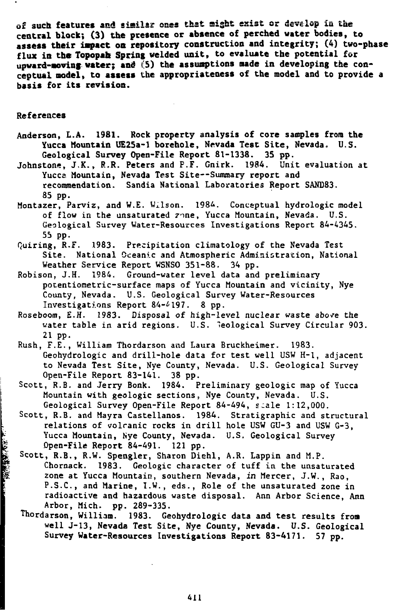**of such features aad sisila? ones that sight esist or develop £a the central block; (3) the presence or absence of perched water bodies, to assess their impact oa repository construction and integrity; (4) two-phase flux in the Topopah Spring welded unit, to evaluate the potential for** upward-moving water; and (5) the assumptions made in developing the con**ceptual model, to assess the appropriateness of the model and to provide a basis for its revision.**

#### **References**

■ 「特別の情報」

- **Anderson, L.A. 1981. Rock property analysis of core samples from the Yucca Mountain UE25a-l borehole, Nevada Test Site, Nevada, U.S. Geological Survey Open-File Report** 81-1338. 35 **pp.**
- Johnstons, J.K., **R.R. Peters** and P.F. Gnirk. 1984. Unit evaluation at Yucca Mountain, Nevada Test Site--Summary report and recommendation. Sandia National Laboratories Report SAND83. 85 pp.
- Montazer, Parviz, and W.E. Wilson. 1984. Conceptual hydrologic model of flow in the unsaturated rone, Yucca Mountain, Nevada. U.S. Geological Survey Water-Resources Investigations Report 84-4345. 55 pp.
- Quiring, R.F. 1983. Precipitation climatology of the Nevada Test Site. National Oceanic and Atmospheric Administration, National Weather Service Report WSNSO 351-88. 34 pp.
- Robison, J.H. 1984, Ground-water level data and preliminary potentiometric-surface maps of Yucca Mountain and vicinity, Nye County, Nevada. U.S. Geological Survey Water-Resources Investigations Report 84-4197. 8 pp.
- Roseboom, E.H. 1983. Disposal of high-level nuclear waste above the water table in arid regions. U.S. Geological Survey Circular 903. 21 pp.
- Rush, F.E., William Thordarson and Laura Bruckheimer. 1983. Geohydrologic and drill-hole data for test well USW H-l, adjacent to Nevada Test Site, Nye County, Nevada. U.S. Geological Survey Open-File Report 83-141. 38 pp.
- Scott, R.B. and Jerry Bonk. 1984. Preliminary geologic map of Yucca Mountain with geologic sections, Nye County, Nevada. U.S. Geological Survey Open-File Report 84-494, scale 1:12,000.
- Scott, R.B. and Mayra Castellanos. 1984. Stratigraphic and structural relations of volcanic rocks in drill hole USW GU-3 and USW G-3, Yucca Mountain, Nye County, Nevada. U.S. Geological Survey Dpen-File Report 84-491. 121 pp.
- Scott, R.B., R.W. Spengler, Sharon Diehl, A.R. Lappin and M.P. Chornack. 1983. Geologic character of tuff in the unsaturated zone at Yucca Mountain, southern Nevada, in Mercer, J.W., Rao, P.S.C., and Marine, I.W., eds., Role of the unsaturated zone in radioactive and hazardous waste disposal. Ann Arbor Science, Ann Arbor, Mich. pp. 289-335.
- Thordarson, William. 1983. Geohydrologic **data and test** results **from well J-13, Nevada Test Site, Nye County, Nevada. U.S.** Geological **Survey Water-Resources Investigations Report 83-4171. 57 pp.**